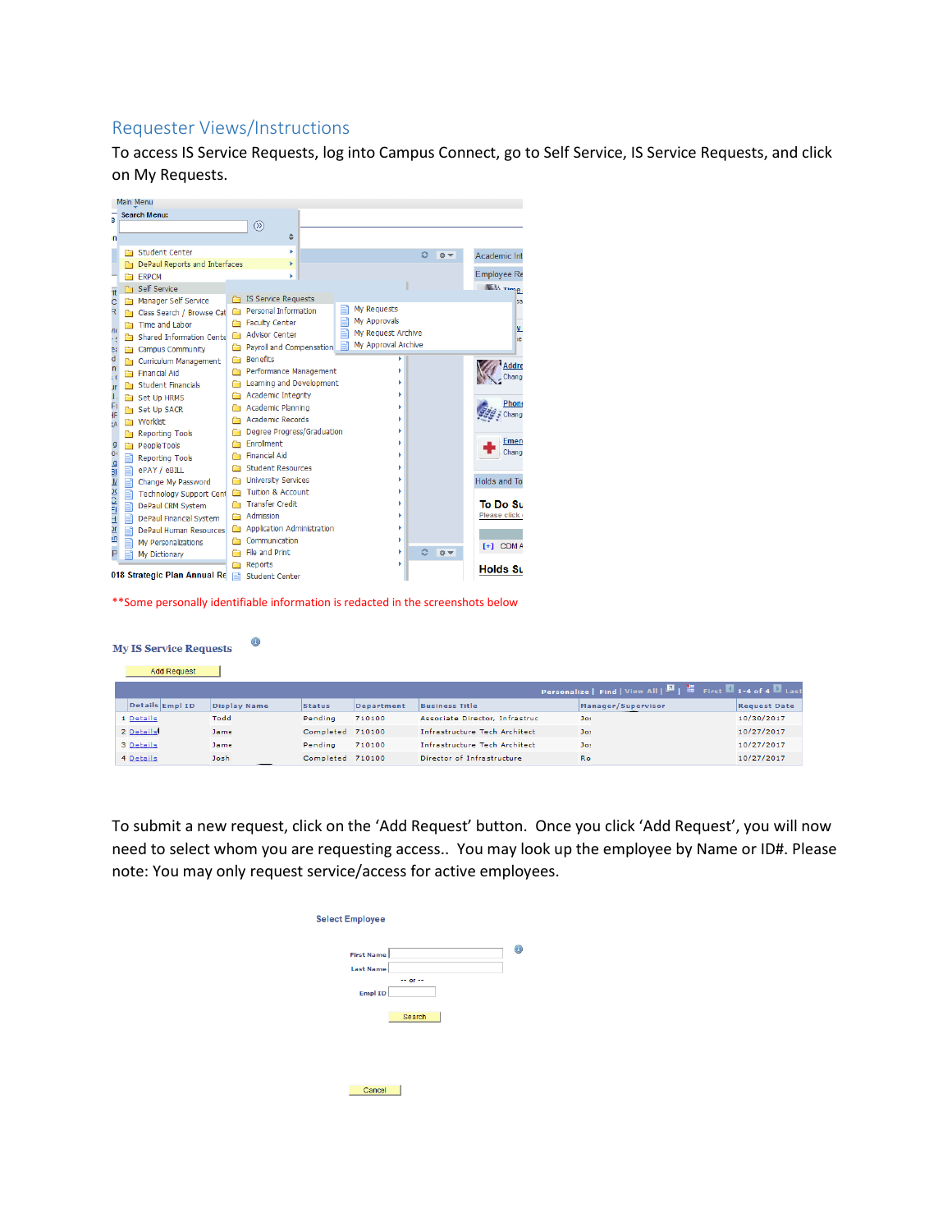# Requester Views/Instructions

To access IS Service Requests, log into Campus Connect, go to Self Service, IS Service Requests, and click on My Requests.



\*\*Some personally identifiable information is redacted in the screenshots below

 $\circledcirc$ 

### **My IS Service Requests**

#### Add Request

|           |                 |                     |                  |            |                                      | Personalize   Find   View All   2     First 1-4 of 4   Last |                     |
|-----------|-----------------|---------------------|------------------|------------|--------------------------------------|-------------------------------------------------------------|---------------------|
|           | Details Empl ID | <b>Display Name</b> | <b>Status</b>    | Department | <b>Business Title</b>                | Manager/Supervisor                                          | <b>Request Date</b> |
| 1 Details |                 | Todd                | Pendina          | 710100     | Associate Director, Infrastruc       | <b>Jos</b>                                                  | 10/30/2017          |
| 2 Details |                 | Jame                | Completed 710100 |            | <b>Infrastructure Tech Architect</b> | Jos                                                         | 10/27/2017          |
| 3 Details |                 | Jame.               | Pendina          | 710100     | Infrastructure Tech Architect        | Jos                                                         | 10/27/2017          |
| 4 Details |                 | Joshi               | Completed 710100 |            | Director of Infrastructure           | <b>Ro</b>                                                   | 10/27/2017          |

To submit a new request, click on the 'Add Request' button. Once you click 'Add Request', you will now need to select whom you are requesting access.. You may look up the employee by Name or ID#. Please note: You may only request service/access for active employees.

| <b>Select Employee</b> |            |  |
|------------------------|------------|--|
| <b>First Name</b>      |            |  |
| <b>Last Name</b>       |            |  |
|                        | $-$ or $-$ |  |
| <b>Empl ID</b>         |            |  |
|                        |            |  |
|                        | Search     |  |
|                        |            |  |
|                        |            |  |
|                        |            |  |
|                        |            |  |
|                        |            |  |
|                        |            |  |
| Cancel                 |            |  |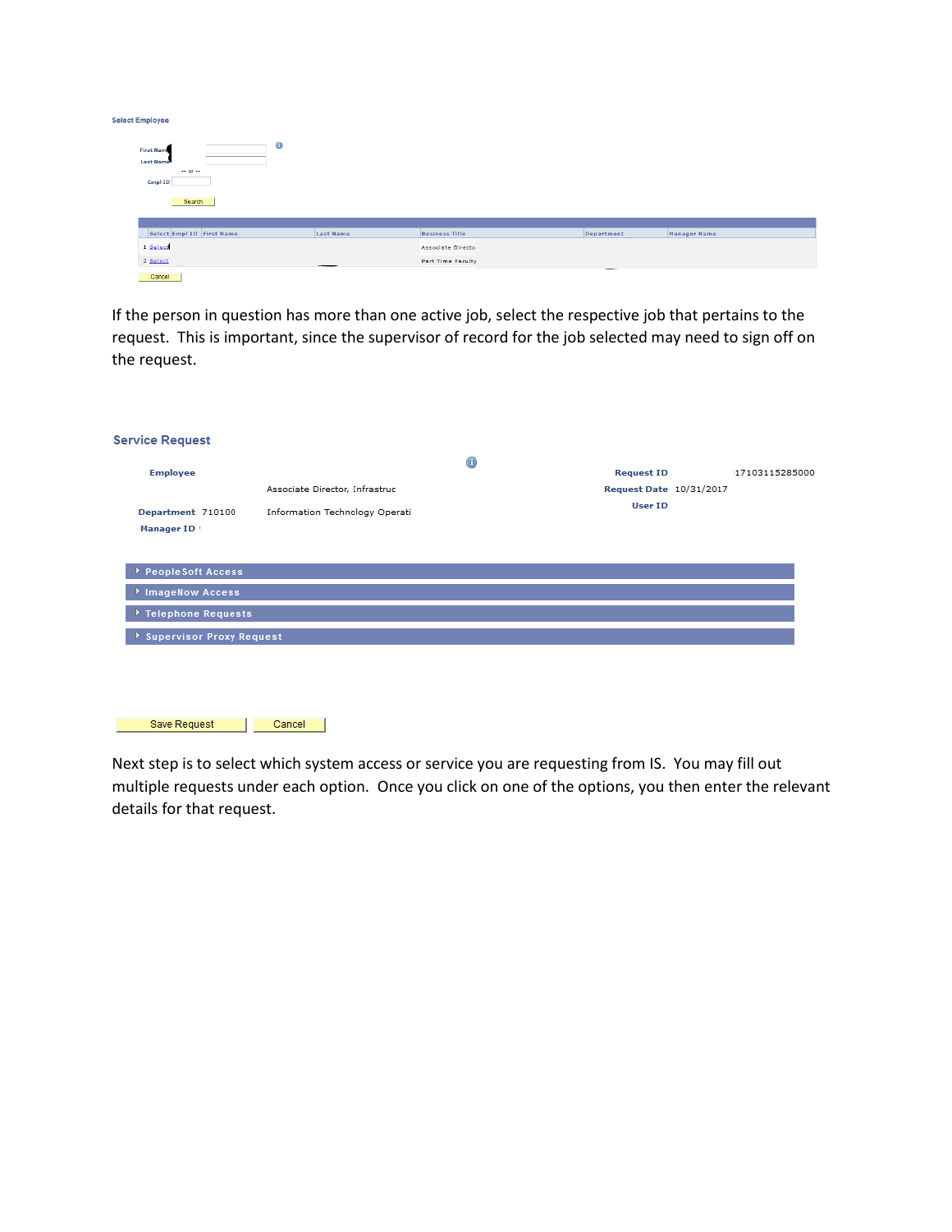| <b>Select Employee</b>                                                                                                |                  |                           |            |              |
|-----------------------------------------------------------------------------------------------------------------------|------------------|---------------------------|------------|--------------|
| $\circledcirc$<br><b>First Nam</b><br><b>Last Name</b><br>$\leftrightarrow$ or $\leftrightarrow$<br>Empl ID<br>Search |                  |                           |            |              |
|                                                                                                                       |                  |                           |            |              |
| Select Empl ID First Name                                                                                             | <b>Last Name</b> | <b>Business Title</b>     | Department | Manager Name |
| 1 Select                                                                                                              |                  | <b>Associate Director</b> |            |              |
| 2 Select                                                                                                              |                  | <b>Part Time Faculty</b>  |            |              |
| Cancel                                                                                                                |                  |                           |            |              |

If the person in question has more than one active job, select the respective job that pertains to the request. This is important, since the supervisor of record for the job selected may need to sign off on the request.

| <b>Service Request</b>              |                                       |                |                         |                |
|-------------------------------------|---------------------------------------|----------------|-------------------------|----------------|
| <b>Employee</b>                     |                                       | $\circledcirc$ | <b>Request ID</b>       | 17103115285000 |
|                                     | Associate Director, Infrastruc        |                | Request Date 10/31/2017 |                |
| Department 710100                   | <b>Information Technology Operati</b> |                | <b>User ID</b>          |                |
| Manager ID                          |                                       |                |                         |                |
|                                     |                                       |                |                         |                |
| PeopleSoft Access                   |                                       |                |                         |                |
| ImageNow Access                     |                                       |                |                         |                |
| $\triangleright$ Telephone Requests |                                       |                |                         |                |
| <b>Supervisor Proxy Request</b>     |                                       |                |                         |                |
|                                     |                                       |                |                         |                |
|                                     |                                       |                |                         |                |
|                                     |                                       |                |                         |                |
| Save Request                        | Cancel                                |                |                         |                |

Next step is to select which system access or service you are requesting from IS. You may fill out multiple requests under each option. Once you click on one of the options, you then enter the relevant details for that request.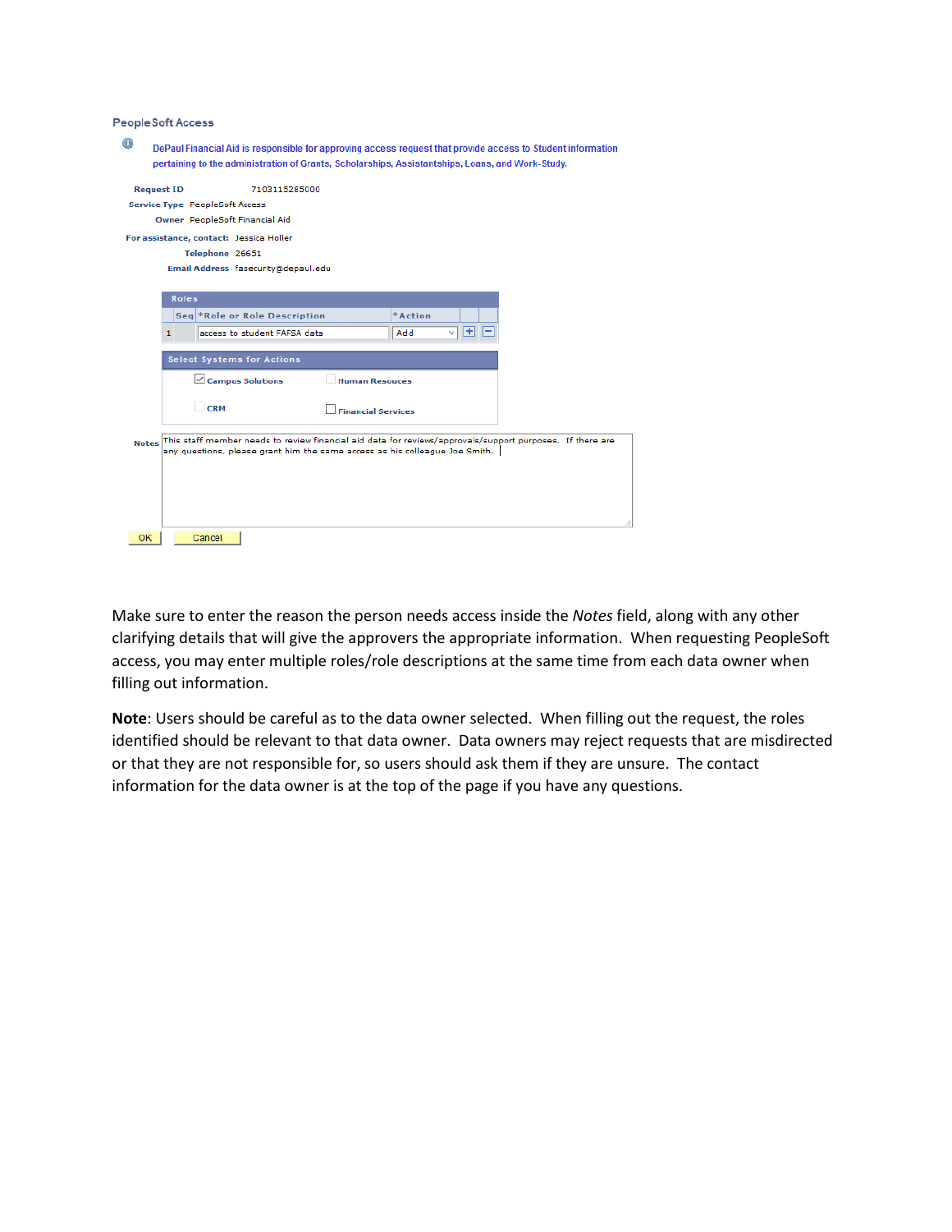## **PeopleSoft Access**

| $_{\odot}$   |                   |              | DePaul Financial Aid is responsible for approving access request that provide access to Student information<br>pertaining to the administration of Grants, Scholarships, Assistantships, Loans, and Work-Study. |                           |         |                   |   |  |  |
|--------------|-------------------|--------------|-----------------------------------------------------------------------------------------------------------------------------------------------------------------------------------------------------------------|---------------------------|---------|-------------------|---|--|--|
|              |                   |              |                                                                                                                                                                                                                 |                           |         |                   |   |  |  |
|              | <b>Request ID</b> |              | 7103115285000                                                                                                                                                                                                   |                           |         |                   |   |  |  |
|              |                   |              | Service Type PeopleSoft Access                                                                                                                                                                                  |                           |         |                   |   |  |  |
|              |                   |              | Owner PeopleSoft Financial Aid                                                                                                                                                                                  |                           |         |                   |   |  |  |
|              |                   |              | For assistance, contact: Jessica Holler                                                                                                                                                                         |                           |         |                   |   |  |  |
|              |                   |              | Telephone 26651                                                                                                                                                                                                 |                           |         |                   |   |  |  |
|              |                   |              | Email Address fasecurity@depaul.edu                                                                                                                                                                             |                           |         |                   |   |  |  |
|              |                   |              |                                                                                                                                                                                                                 |                           |         |                   |   |  |  |
|              |                   | <b>Roles</b> |                                                                                                                                                                                                                 |                           |         |                   |   |  |  |
|              |                   |              | Seq *Role or Role Description                                                                                                                                                                                   |                           | *Action |                   |   |  |  |
|              | 1                 |              | access to student FAFSA data                                                                                                                                                                                    |                           | Add     | Ħ<br>$\checkmark$ | - |  |  |
|              |                   |              | <b>Select Systems for Actions</b>                                                                                                                                                                               |                           |         |                   |   |  |  |
|              |                   |              | $\angle$ Campus Solutions                                                                                                                                                                                       | <b>Human Resouces</b>     |         |                   |   |  |  |
|              |                   |              | CRM                                                                                                                                                                                                             | <b>Financial Services</b> |         |                   |   |  |  |
| <b>Notes</b> |                   |              | This staff member needs to review financial aid data for reviews/approvals/support purposes. If there are<br>any questions, please grant him the same access as his colleague Joe Smith.                        |                           |         |                   |   |  |  |
|              |                   |              |                                                                                                                                                                                                                 |                           |         |                   |   |  |  |
|              |                   |              |                                                                                                                                                                                                                 |                           |         |                   |   |  |  |
|              |                   |              |                                                                                                                                                                                                                 |                           |         |                   |   |  |  |
|              |                   |              |                                                                                                                                                                                                                 |                           |         |                   |   |  |  |
|              |                   |              |                                                                                                                                                                                                                 |                           |         |                   |   |  |  |
| <b>OK</b>    |                   |              | Cancel                                                                                                                                                                                                          |                           |         |                   |   |  |  |
|              |                   |              |                                                                                                                                                                                                                 |                           |         |                   |   |  |  |

Make sure to enter the reason the person needs access inside the *Notes* field, along with any other clarifying details that will give the approvers the appropriate information. When requesting PeopleSoft access, you may enter multiple roles/role descriptions at the same time from each data owner when filling out information.

**Note**: Users should be careful as to the data owner selected. When filling out the request, the roles identified should be relevant to that data owner. Data owners may reject requests that are misdirected or that they are not responsible for, so users should ask them if they are unsure. The contact information for the data owner is at the top of the page if you have any questions.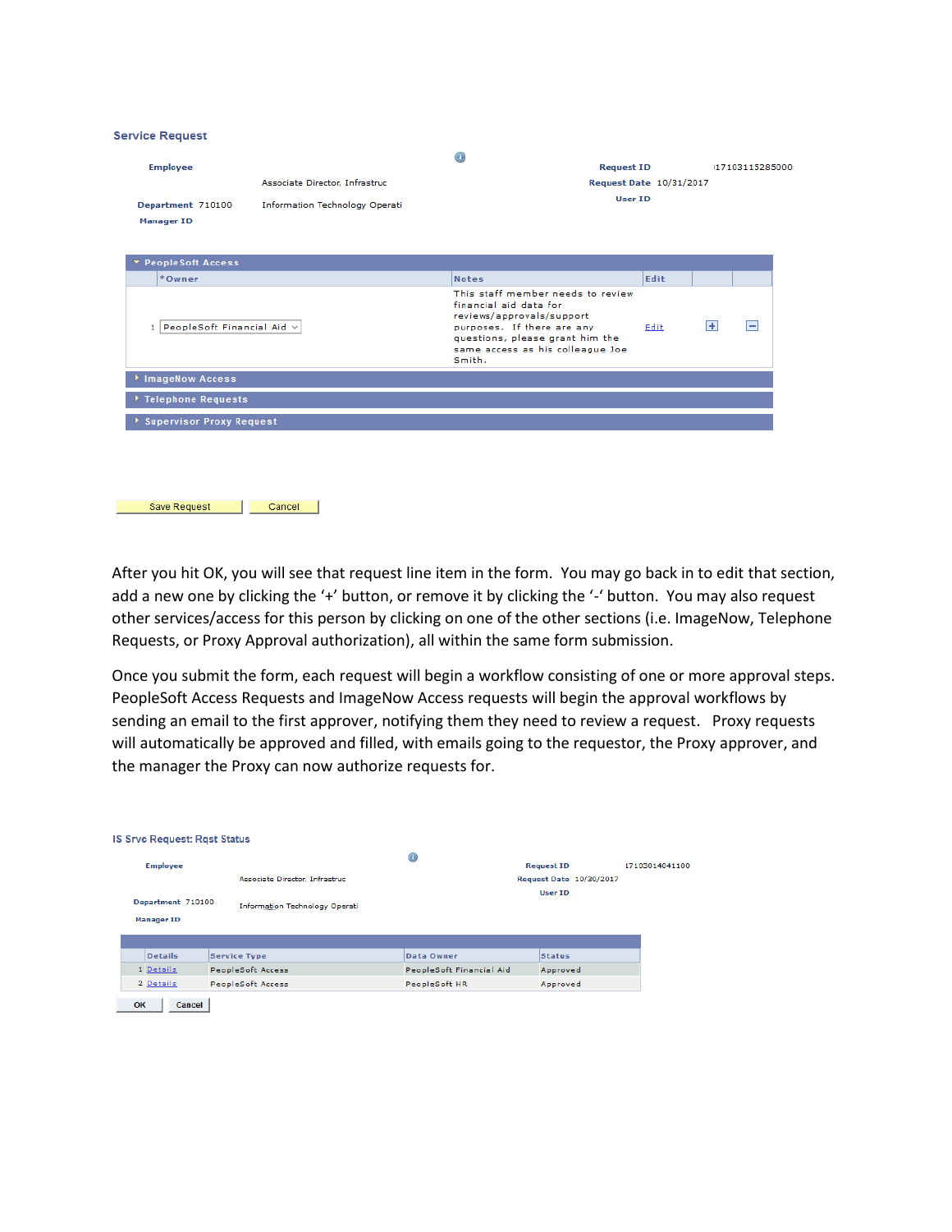#### **Service Request**

Save Request | Cancel

| <b>Employee</b>                        |                                       | $_{\odot}$<br><b>Request ID</b>                                                                                                                                                                         |      |   | 17103115285000 |
|----------------------------------------|---------------------------------------|---------------------------------------------------------------------------------------------------------------------------------------------------------------------------------------------------------|------|---|----------------|
|                                        | Associate Director, Infrastruc        | Request Date 10/31/2017                                                                                                                                                                                 |      |   |                |
| Department 710100<br><b>Manager ID</b> | <b>Information Technology Operati</b> | User ID                                                                                                                                                                                                 |      |   |                |
| ▼ PeopleSoft Access                    |                                       |                                                                                                                                                                                                         |      |   |                |
| *Owner                                 |                                       | <b>Notes</b>                                                                                                                                                                                            | Edit |   |                |
| 1 PeopleSoft Financial Aid v           |                                       | This staff member needs to review<br>financial aid data for<br>reviews/approvals/support<br>purposes. If there are any<br>questions, please grant him the<br>same access as his colleague Joe<br>Smith. | Edit | Ŧ | Е              |
| <b>FimageNow Access</b>                |                                       |                                                                                                                                                                                                         |      |   |                |
| Telephone Requests                     |                                       |                                                                                                                                                                                                         |      |   |                |
| Supervisor Proxy Request               |                                       |                                                                                                                                                                                                         |      |   |                |
|                                        |                                       |                                                                                                                                                                                                         |      |   |                |

After you hit OK, you will see that request line item in the form. You may go back in to edit that section, add a new one by clicking the '+' button, or remove it by clicking the '-' button. You may also request other services/access for this person by clicking on one of the other sections (i.e. ImageNow, Telephone Requests, or Proxy Approval authorization), all within the same form submission.

Once you submit the form, each request will begin a workflow consisting of one or more approval steps. PeopleSoft Access Requests and ImageNow Access requests will begin the approval workflows by sending an email to the first approver, notifying them they need to review a request. Proxy requests will automatically be approved and filled, with emails going to the requestor, the Proxy approver, and the manager the Proxy can now authorize requests for.

| <b>Employee</b>   |                                       | $^{\circ}$               | <b>Request ID</b> |                         | 17103014041100 |
|-------------------|---------------------------------------|--------------------------|-------------------|-------------------------|----------------|
|                   | Associate Director, Infrastruc        |                          |                   | Request Date 10/30/2017 |                |
| Department 710100 |                                       |                          | <b>User ID</b>    |                         |                |
| <b>Manager ID</b> | <b>Information Technology Operati</b> |                          |                   |                         |                |
| <b>Details</b>    | <b>Service Type</b>                   | Data Owner               | <b>Status</b>     |                         |                |
| 1 Details         | PeopleSoft Access                     | PeopleSoft Financial Aid | Approved          |                         |                |